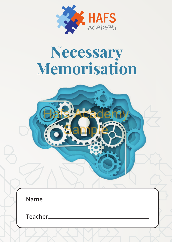

# **Necessary Memorisation**

Bisy Rademy

Sample

| Name ___ |  |  |
|----------|--|--|
| Teacher_ |  |  |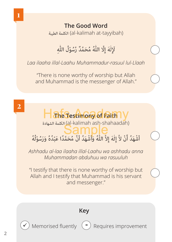#### **The Good Word** الطيبة الكلمة) al-kalimah at-tayyibah)

## لَإِلٰهَ إِلَّا اللَّهُ مُحَمَّدٌ رَّسُوْلُ اللَّهِ

*Laa ilaaha illal-Laahu Muhammadur-rasuul lul-Llaah*

"There is none worthy of worship but Allah and Muhammad is the messenger of Allah."

### Han**Estimony of Faith** الشهادة الكلمة) al-kalimah ash-shahaadah) أَشْهَدُ أَنْ لاَّ إِلٰهَ إِلاَّ اللّٰهُ وَأَشْهَدُ أَنَّ مُحَمَّدًا عَبْدُهُ وَرَسُوْلُهُ *Ashhadu al-laa ilaaha illal-Laahu wa ashhadu anna Muhammadan abduhuu wa rasuuluh* **Sample**

"I testify that there is none worthy of worship but Allah and I testify that Muhammad is his servant and messenger."



**2**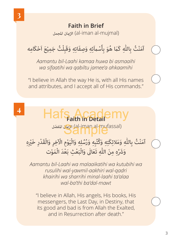#### **Faith in Brief**  املجمل اإلميان) al-iman al-mujmal)

## آمَنْتُ بِاللّٰهِ كَمَا هُوَ بِأَسْماَئِهِ وَصِفَاتِهِ وَقَبِلْتُ جَمِيْعَ اَحْكَامِه

*Aamantu bil-Laahi kamaa huwa bi asmaaihi wa sifaatihi wa qabiltu jamee'a ahkaamihi*

"I believe in Allah the way He is, with all His names and attributes, and I accept all of His commands."

### **4**

# **Hafs Academy** الإيمان المفصّل) (al-iman al-mufassal)<br>عصاف العرب العام العالم

آمَنْتُ بِاللَّهِ وَمَلائِكَتِهِ وَكُتُبِهِ وَرُسُلِهِ وَالْيَوْمِ الْآخِرِ وَالْقَدْرِ خَيْرِهِ وَشَرِّهِ مِنَ اللَّهِ تَعَالٰى وَالْبَعْثِ بَعْدَ الْمَوْت

*Aamantu bil-Laahi wa malaaikatihi wa kutubihi wa rusulihi wal-yawmil-aakhiri wal-qadri khairihi wa sharrihi minal-laahi ta'alaa wal-ba'thi ba'dal-mawt*

"I believe in Allah, His angels, His books, His messengers, the Last Day, in Destiny, that its good and bad is from Allah the Exalted, and in Resurrection after death."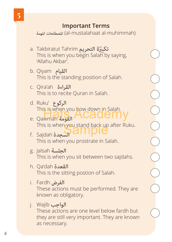#### **Important Terms**

املهمة املصطلحات) al-mustalahaat al-muhimmah)

- a. Takbiratut Tahrim **تكبيُرَة التحريم**<br>This is when you begin Salah by saying, 'Allahu Akbar'.
- b. Qiyam القيام This is the standing position of Salah.
- c. Qira'ah القراءة This is to recite Quran in Salah.
- d. Ruku' الركوع
- This is when you how down in Salah.<br>Qawman James Academy e. Qawmah القومة This is when you stand back up after Ruku.<br>Sajdah سجدة

COOOO

- f. Sajdah السجدة This is when you prostrate in Salah.
- g. Jalsah الجلسة This is when you sit between two sajdahs.
- h. Qa'dah القعدة This is the sitting postion of Salah.
- i. Fardh الفرض These actions must be performed. They are known as obligatory.
- j. Wajib الواجب

These actions are one level below fardh but they are still very important. They are known as necessary.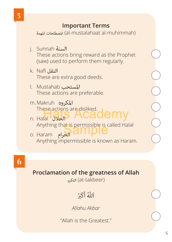#### **Important Terms**

املهمة املصطلحات) al-mustalahaat al-muhimmah)

- j. Sunnah السنة These actions bring reward as the Prophet (saw) used to perform them regularly.
- k. Nafl النفل These are extra good deeds.
- l. Mustahab املستحب These actions are preferable.
- m.Makruh املكروه
- These actions are disliked.<br>Halal **Bush Academy** n. Halal الحالل
- Anything that is permissible is called Halal<br>Haram **BIONDIC** o. Haram الحرام Anything impermissible is known as Haram.

#### **Proclamation of the greatness of Allah**

التكبري) at-takbeer)

### اَللّٰهُ أَكْبَرْ

*Allahu Akbar*

"Allah is the Greatest."

 $( ) - ( )$ 

 $\frac{1}{2}$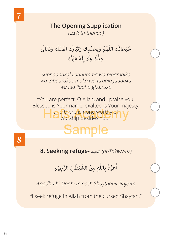#### **The Opening Supplication** الثناء*) ath-thanaa)*

سُبْحَانَكَ اللَّهُمَّ وَبِحَمْدِكَ وَتَبَارَكَ اسْمُكَ وَتَعَالٰى جَدَّكَ ولَا إِلٰهَ غَيْرُكَ

*Subhaanakal Laahumma wa bihamdika wa tabaarakas-muka wa ta'aala jadduka wa laa ilaaha ghairuka*

"You are perfect, O Allah, and I praise you. Blessed is Your name, exalted is Your majesty, Hand there's none worthy of y worship besides You."

## Sample

**8. Seeking refuge-** التعوذ*) at-Ta'awwuz)*

أَعُوْذُ بِاللَّهِ مِنَ الشَّيْطَانِ الرَّجِيْمِ

*A'oodhu bi-Llaahi minash Shaytaanir Rajeem*

"I seek refuge in Allah from the cursed Shaytan."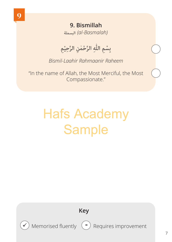**9. Bismillah** البسملة*) al-Basmalah)*

بِسْمِ اللَّهِ الرَّحْمٰنِ الرَّحِيْمِ

*Bismil-Laahir Rahmaanir Raheem*

"In the name of Allah, the Most Merciful, the Most Compassionate."

# Hafs Academy **Sample**

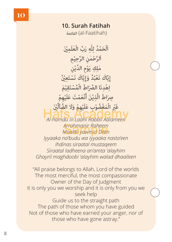#### **10. Surah Fatihah**

الفاتحة) al-Faatihah)

اَلْحَمْدُ لِلَّٰهِ رَبِّ الْعٰلَمِيْنَ<br>ا اَلرَّحْمٰنِ الرَّحِيْمِ<br>ا مٰلِكِ يَوْمِ الدِّيْنِ إِيَّاكَ نَعْبُدُ وَإِيَّاكَ نَسْتَعِيْنُ اِهْدِنَا اِلصِّرَاطِّ الْمُسْتَقِيْمَ صِرَاطَ الَّذِيْنَ أَنْعَمْتَ عَلَيْهِمْ غَيْرِ الْمَغْضُوْبِ عَلَيْهِمْ وَلَا الضَّآلَيْنَ<br>مَا أَحْسَنَ مَنْ الْمَعْلَمِينَ

**Hafs III** Rabbil Aalameen *Arrahmanir Raheem Maaliki yawmid Deen* Sample*Iyyaaka na'budu wa iyyaaka nasta'een Ihdinas siraatal mustaqeem Siraatal ladheena an'amta 'alayhim Ghayril maghdoobi 'alayhim walad dhaalleen*

"All praise belongs to Allah, Lord of the worlds The most merciful, the most compassionate Owner of the Day of Judgment It is only you we worship and it is only from you we seek help Guide us to the straight path The path of those whom you have guided Not of those who have earned your anger, nor of those who have gone astray."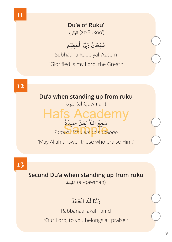

**Du'a of Ruku'** الركوع) ar-Rukoo')

سُبْحَانَ رَبِّيَ الْعَظِيْم Subhaana Rabbiyal 'Azeem "Glorified is my Lord, the Great."

**Du'a when standing up from ruku**  القومة) al-Qawmah) سَمِعَ اللَّهُ لِمَنْ حَمِدَهُ<br>مَرَبِّعَ *Sami'a Llahu liman hamidah* Sample"May Allah answer those who praise Him." **12** Hafs Academy

**13**

**Second Du'a when standing up from ruku** 

القومة) al-qawmah)

رَبَّنَا لَكَ الْحَمْدُ

Rabbanaa lakal hamd "Our Lord, to you belongs all praise."